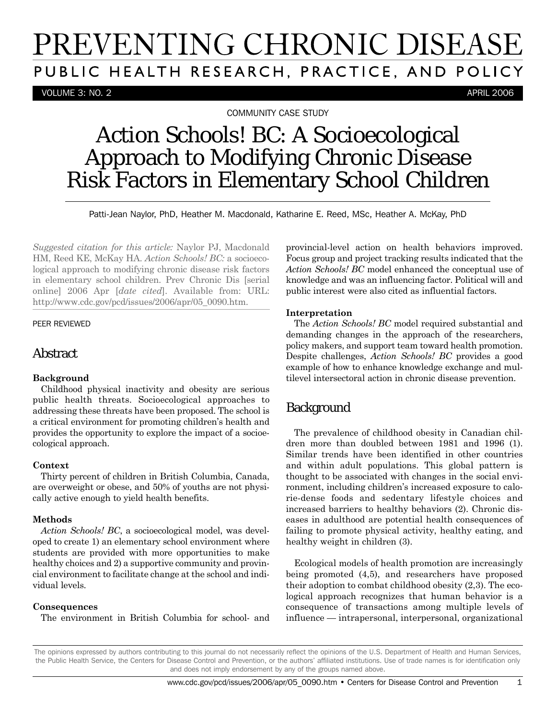# PREVENTING CHRONIC DISEASE PUBLIC HEALTH RESEARCH, PRACTICE, AND POLICY

VOLUME 3: NO. 2 APRIL 2006

COMMUNITY CASE STUDY

## *Action Schools! BC*: A Socioecological Approach to Modifying Chronic Disease Risk Factors in Elementary School Children

Patti-Jean Naylor, PhD, Heather M. Macdonald, Katharine E. Reed, MSc, Heather A. McKay, PhD

*Suggested citation for this article:* Naylor PJ, Macdonald HM, Reed KE, McKay HA. *Action Schools! BC:* a socioecological approach to modifying chronic disease risk factors in elementary school children. Prev Chronic Dis [serial online] 2006 Apr [*date cited*]. Available from: URL: http://www.cdc.gov/pcd/issues/2006/apr/05\_0090.htm.

#### PEER REVIEWED

#### Abstract

#### **Background**

Childhood physical inactivity and obesity are serious public health threats. Socioecological approaches to addressing these threats have been proposed. The school is a critical environment for promoting children's health and provides the opportunity to explore the impact of a socioecological approach.

#### **Context**

Thirty percent of children in British Columbia, Canada, are overweight or obese, and 50% of youths are not physically active enough to yield health benefits.

#### **Methods**

*Action Schools! BC*, a socioecological model, was developed to create 1) an elementary school environment where students are provided with more opportunities to make healthy choices and 2) a supportive community and provincial environment to facilitate change at the school and individual levels.

#### **Consequences**

The environment in British Columbia for school- and

provincial-level action on health behaviors improved. Focus group and project tracking results indicated that the *Action Schools! BC* model enhanced the conceptual use of knowledge and was an influencing factor. Political will and public interest were also cited as influential factors.

#### **Interpretation**

The *Action Schools! BC* model required substantial and demanding changes in the approach of the researchers, policy makers, and support team toward health promotion. Despite challenges, *Action Schools! BC* provides a good example of how to enhance knowledge exchange and multilevel intersectoral action in chronic disease prevention.

## **Background**

The prevalence of childhood obesity in Canadian children more than doubled between 1981 and 1996 (1). Similar trends have been identified in other countries and within adult populations. This global pattern is thought to be associated with changes in the social environment, including children's increased exposure to calorie-dense foods and sedentary lifestyle choices and increased barriers to healthy behaviors (2). Chronic diseases in adulthood are potential health consequences of failing to promote physical activity, healthy eating, and healthy weight in children (3).

Ecological models of health promotion are increasingly being promoted (4,5), and researchers have proposed their adoption to combat childhood obesity (2,3). The ecological approach recognizes that human behavior is a consequence of transactions among multiple levels of influence — intrapersonal, interpersonal, organizational

The opinions expressed by authors contributing to this journal do not necessarily reflect the opinions of the U.S. Department of Health and Human Services, the Public Health Service, the Centers for Disease Control and Prevention, or the authors' affiliated institutions. Use of trade names is for identification only and does not imply endorsement by any of the groups named above.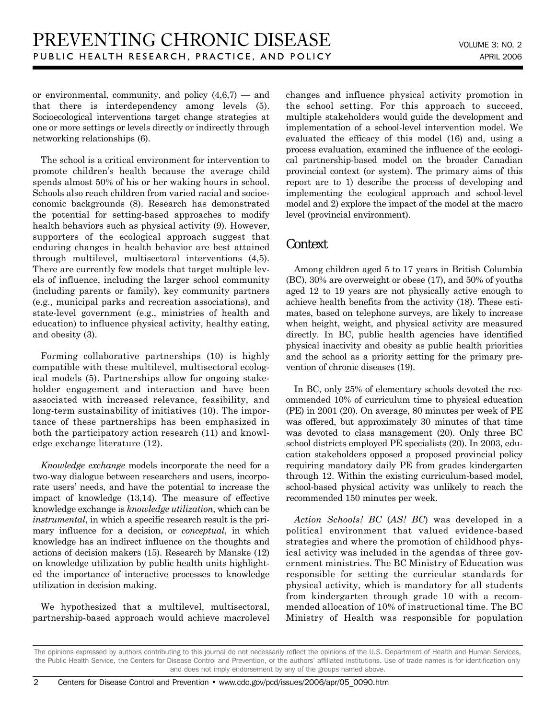or environmental, community, and policy  $(4,6,7)$  — and that there is interdependency among levels (5). Socioecological interventions target change strategies at one or more settings or levels directly or indirectly through networking relationships (6).

The school is a critical environment for intervention to promote children's health because the average child spends almost 50% of his or her waking hours in school. Schools also reach children from varied racial and socioeconomic backgrounds (8). Research has demonstrated the potential for setting-based approaches to modify health behaviors such as physical activity (9). However, supporters of the ecological approach suggest that enduring changes in health behavior are best attained through multilevel, multisectoral interventions (4,5). There are currently few models that target multiple levels of influence, including the larger school community (including parents or family), key community partners (e.g., municipal parks and recreation associations), and state-level government (e.g., ministries of health and education) to influence physical activity, healthy eating, and obesity (3).

Forming collaborative partnerships (10) is highly compatible with these multilevel, multisectoral ecological models (5). Partnerships allow for ongoing stakeholder engagement and interaction and have been associated with increased relevance, feasibility, and long-term sustainability of initiatives (10). The importance of these partnerships has been emphasized in both the participatory action research (11) and knowledge exchange literature (12).

*Knowledge exchange* models incorporate the need for a two-way dialogue between researchers and users, incorporate users' needs, and have the potential to increase the impact of knowledge (13,14). The measure of effective knowledge exchange is *knowledge utilization*, which can be *instrumental*, in which a specific research result is the primary influence for a decision, or *conceptual*, in which knowledge has an indirect influence on the thoughts and actions of decision makers (15). Research by Manske (12) on knowledge utilization by public health units highlighted the importance of interactive processes to knowledge utilization in decision making.

We hypothesized that a multilevel, multisectoral, partnership-based approach would achieve macrolevel changes and influence physical activity promotion in the school setting. For this approach to succeed, multiple stakeholders would guide the development and implementation of a school-level intervention model. We evaluated the efficacy of this model (16) and, using a process evaluation, examined the influence of the ecological partnership-based model on the broader Canadian provincial context (or system). The primary aims of this report are to 1) describe the process of developing and implementing the ecological approach and school-level model and 2) explore the impact of the model at the macro level (provincial environment).

## **Context**

Among children aged 5 to 17 years in British Columbia (BC), 30% are overweight or obese (17), and 50% of youths aged 12 to 19 years are not physically active enough to achieve health benefits from the activity (18). These estimates, based on telephone surveys, are likely to increase when height, weight, and physical activity are measured directly. In BC, public health agencies have identified physical inactivity and obesity as public health priorities and the school as a priority setting for the primary prevention of chronic diseases (19).

In BC, only 25% of elementary schools devoted the recommended 10% of curriculum time to physical education (PE) in 2001 (20). On average, 80 minutes per week of PE was offered, but approximately 30 minutes of that time was devoted to class management (20). Only three BC school districts employed PE specialists (20). In 2003, education stakeholders opposed a proposed provincial policy requiring mandatory daily PE from grades kindergarten through 12. Within the existing curriculum-based model, school-based physical activity was unlikely to reach the recommended 150 minutes per week.

*Action Schools! BC* (*AS! BC*) was developed in a political environment that valued evidence-based strategies and where the promotion of childhood physical activity was included in the agendas of three government ministries. The BC Ministry of Education was responsible for setting the curricular standards for physical activity, which is mandatory for all students from kindergarten through grade 10 with a recommended allocation of 10% of instructional time. The BC Ministry of Health was responsible for population

The opinions expressed by authors contributing to this journal do not necessarily reflect the opinions of the U.S. Department of Health and Human Services, the Public Health Service, the Centers for Disease Control and Prevention, or the authors' affiliated institutions. Use of trade names is for identification only and does not imply endorsement by any of the groups named above.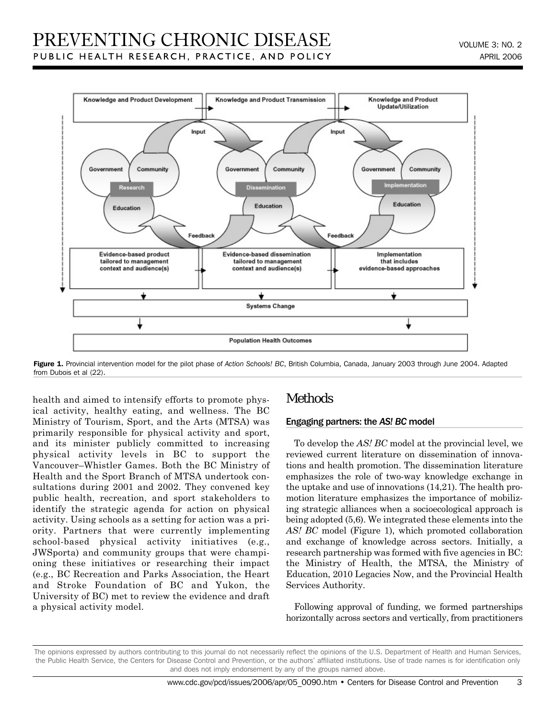

Figure 1. Provincial intervention model for the pilot phase of Action Schools! BC, British Columbia, Canada, January 2003 through June 2004. Adapted from Dubois et al (22).

health and aimed to intensify efforts to promote physical activity, healthy eating, and wellness. The BC Ministry of Tourism, Sport, and the Arts (MTSA) was primarily responsible for physical activity and sport, and its minister publicly committed to increasing physical activity levels in BC to support the Vancouver–Whistler Games. Both the BC Ministry of Health and the Sport Branch of MTSA undertook consultations during 2001 and 2002. They convened key public health, recreation, and sport stakeholders to identify the strategic agenda for action on physical activity. Using schools as a setting for action was a priority. Partners that were currently implementing school-based physical activity initiatives (e.g., JWSporta) and community groups that were championing these initiatives or researching their impact (e.g., BC Recreation and Parks Association, the Heart and Stroke Foundation of BC and Yukon, the University of BC) met to review the evidence and draft a physical activity model.

## Methods

#### Engaging partners: the *AS! BC* model

To develop the *AS! BC* model at the provincial level, we reviewed current literature on dissemination of innovations and health promotion. The dissemination literature emphasizes the role of two-way knowledge exchange in the uptake and use of innovations (14,21). The health promotion literature emphasizes the importance of mobilizing strategic alliances when a socioecological approach is being adopted (5,6). We integrated these elements into the *AS! BC* model (Figure 1), which promoted collaboration and exchange of knowledge across sectors. Initially, a research partnership was formed with five agencies in BC: the Ministry of Health, the MTSA, the Ministry of Education, 2010 Legacies Now, and the Provincial Health Services Authority.

Following approval of funding, we formed partnerships horizontally across sectors and vertically, from practitioners

The opinions expressed by authors contributing to this journal do not necessarily reflect the opinions of the U.S. Department of Health and Human Services, the Public Health Service, the Centers for Disease Control and Prevention, or the authors' affiliated institutions. Use of trade names is for identification only and does not imply endorsement by any of the groups named above.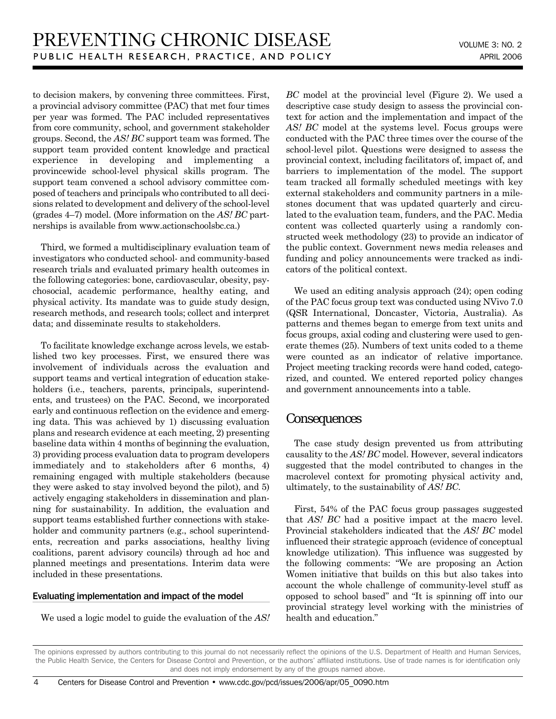to decision makers, by convening three committees. First, a provincial advisory committee (PAC) that met four times per year was formed. The PAC included representatives from core community, school, and government stakeholder groups. Second, the *AS! BC* support team was formed. The support team provided content knowledge and practical experience in developing and implementing a provincewide school-level physical skills program. The support team convened a school advisory committee composed of teachers and principals who contributed to all decisions related to development and delivery of the school-level (grades 4–7) model. (More information on the *AS! BC* partnerships is available from www.actionschoolsbc.ca.)

Third, we formed a multidisciplinary evaluation team of investigators who conducted school- and community-based research trials and evaluated primary health outcomes in the following categories: bone, cardiovascular, obesity, psychosocial, academic performance, healthy eating, and physical activity. Its mandate was to guide study design, research methods, and research tools; collect and interpret data; and disseminate results to stakeholders.

To facilitate knowledge exchange across levels, we established two key processes. First, we ensured there was involvement of individuals across the evaluation and support teams and vertical integration of education stakeholders (i.e., teachers, parents, principals, superintendents, and trustees) on the PAC. Second, we incorporated early and continuous reflection on the evidence and emerging data. This was achieved by 1) discussing evaluation plans and research evidence at each meeting, 2) presenting baseline data within 4 months of beginning the evaluation, 3) providing process evaluation data to program developers immediately and to stakeholders after 6 months, 4) remaining engaged with multiple stakeholders (because they were asked to stay involved beyond the pilot), and 5) actively engaging stakeholders in dissemination and planning for sustainability. In addition, the evaluation and support teams established further connections with stakeholder and community partners (e.g., school superintendents, recreation and parks associations, healthy living coalitions, parent advisory councils) through ad hoc and planned meetings and presentations. Interim data were included in these presentations.

#### Evaluating implementation and impact of the model

We used a logic model to guide the evaluation of the *AS!*

*BC* model at the provincial level (Figure 2). We used a descriptive case study design to assess the provincial context for action and the implementation and impact of the AS! BC model at the systems level. Focus groups were conducted with the PAC three times over the course of the school-level pilot. Questions were designed to assess the provincial context, including facilitators of, impact of, and barriers to implementation of the model. The support team tracked all formally scheduled meetings with key external stakeholders and community partners in a milestones document that was updated quarterly and circulated to the evaluation team, funders, and the PAC. Media content was collected quarterly using a randomly constructed week methodology (23) to provide an indicator of the public context. Government news media releases and funding and policy announcements were tracked as indicators of the political context.

We used an editing analysis approach (24); open coding of the PAC focus group text was conducted using NVivo 7.0 (QSR International, Doncaster, Victoria, Australia). As patterns and themes began to emerge from text units and focus groups, axial coding and clustering were used to generate themes (25). Numbers of text units coded to a theme were counted as an indicator of relative importance. Project meeting tracking records were hand coded, categorized, and counted. We entered reported policy changes and government announcements into a table.

#### **Consequences**

The case study design prevented us from attributing causality to the *AS! BC* model. However, several indicators suggested that the model contributed to changes in the macrolevel context for promoting physical activity and, ultimately, to the sustainability of *AS! BC*.

First, 54% of the PAC focus group passages suggested that *AS! BC* had a positive impact at the macro level. Provincial stakeholders indicated that the *AS! BC* model influenced their strategic approach (evidence of conceptual knowledge utilization). This influence was suggested by the following comments: "We are proposing an Action Women initiative that builds on this but also takes into account the whole challenge of community-level stuff as opposed to school based" and "It is spinning off into our provincial strategy level working with the ministries of health and education."

The opinions expressed by authors contributing to this journal do not necessarily reflect the opinions of the U.S. Department of Health and Human Services, the Public Health Service, the Centers for Disease Control and Prevention, or the authors' affiliated institutions. Use of trade names is for identification only and does not imply endorsement by any of the groups named above.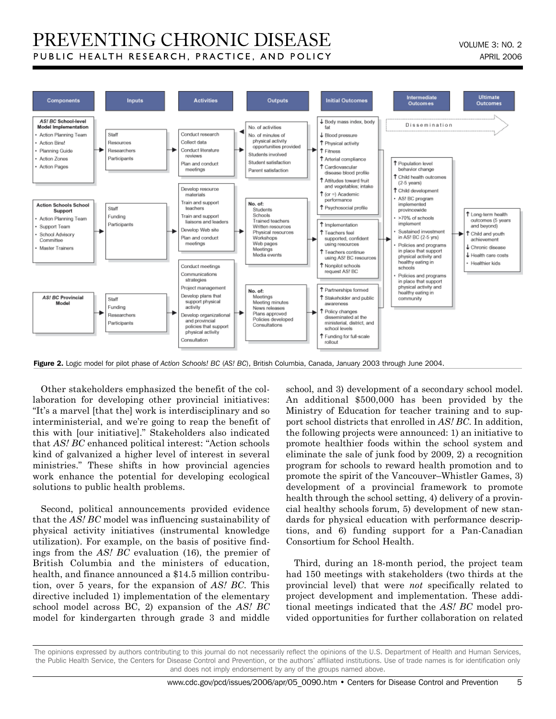## PREVENTING CHRONIC DISEASE PUBLIC HEALTH RESEARCH, PRACTICE, AND POLICY



Figure 2. Logic model for pilot phase of *Action Schools! BC* (*AS! BC*), British Columbia, Canada, January 2003 through June 2004.

Other stakeholders emphasized the benefit of the collaboration for developing other provincial initiatives: "It's a marvel [that the] work is interdisciplinary and so interministerial, and we're going to reap the benefit of this with [our initiative]." Stakeholders also indicated that *AS! BC* enhanced political interest: "Action schools kind of galvanized a higher level of interest in several ministries." These shifts in how provincial agencies work enhance the potential for developing ecological solutions to public health problems.

Second, political announcements provided evidence that the *AS! BC* model was influencing sustainability of physical activity initiatives (instrumental knowledge utilization). For example, on the basis of positive findings from the *AS! BC* evaluation (16), the premier of British Columbia and the ministers of education, health, and finance announced a \$14.5 million contribution, over 5 years, for the expansion of *AS! BC*. This directive included 1) implementation of the elementary school model across BC, 2) expansion of the *AS! BC* model for kindergarten through grade 3 and middle school, and 3) development of a secondary school model. An additional \$500,000 has been provided by the Ministry of Education for teacher training and to support school districts that enrolled in *AS! BC*. In addition, the following projects were announced: 1) an initiative to promote healthier foods within the school system and eliminate the sale of junk food by 2009, 2) a recognition program for schools to reward health promotion and to promote the spirit of the Vancouver–Whistler Games, 3) development of a provincial framework to promote health through the school setting, 4) delivery of a provincial healthy schools forum, 5) development of new standards for physical education with performance descriptions, and 6) funding support for a Pan-Canadian Consortium for School Health.

Third, during an 18-month period, the project team had 150 meetings with stakeholders (two thirds at the provincial level) that were *not* specifically related to project development and implementation. These additional meetings indicated that the *AS! BC* model provided opportunities for further collaboration on related

The opinions expressed by authors contributing to this journal do not necessarily reflect the opinions of the U.S. Department of Health and Human Services, the Public Health Service, the Centers for Disease Control and Prevention, or the authors' affiliated institutions. Use of trade names is for identification only and does not imply endorsement by any of the groups named above.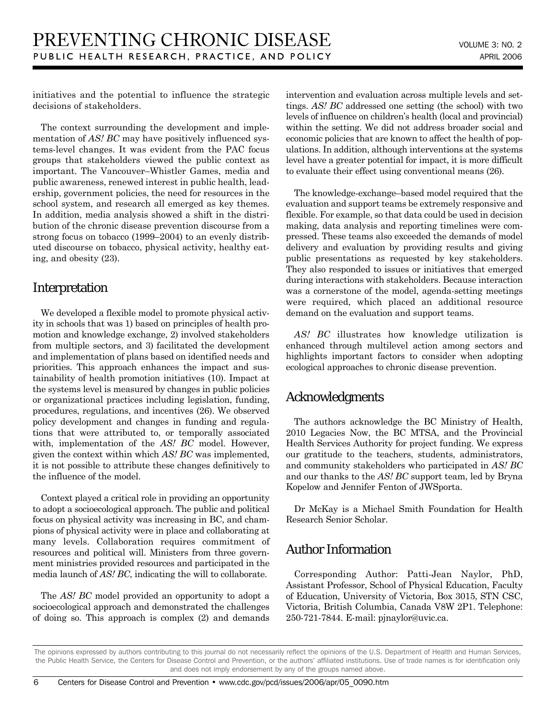initiatives and the potential to influence the strategic decisions of stakeholders.

The context surrounding the development and implementation of *AS! BC* may have positively influenced systems-level changes. It was evident from the PAC focus groups that stakeholders viewed the public context as important. The Vancouver–Whistler Games, media and public awareness, renewed interest in public health, leadership, government policies, the need for resources in the school system, and research all emerged as key themes. In addition, media analysis showed a shift in the distribution of the chronic disease prevention discourse from a strong focus on tobacco (1999–2004) to an evenly distributed discourse on tobacco, physical activity, healthy eating, and obesity (23).

## Interpretation

We developed a flexible model to promote physical activity in schools that was 1) based on principles of health promotion and knowledge exchange, 2) involved stakeholders from multiple sectors, and 3) facilitated the development and implementation of plans based on identified needs and priorities. This approach enhances the impact and sustainability of health promotion initiatives (10). Impact at the systems level is measured by changes in public policies or organizational practices including legislation, funding, procedures, regulations, and incentives (26). We observed policy development and changes in funding and regulations that were attributed to, or temporally associated with, implementation of the AS! BC model. However, given the context within which *AS! BC* was implemented, it is not possible to attribute these changes definitively to the influence of the model.

Context played a critical role in providing an opportunity to adopt a socioecological approach. The public and political focus on physical activity was increasing in BC, and champions of physical activity were in place and collaborating at many levels. Collaboration requires commitment of resources and political will. Ministers from three government ministries provided resources and participated in the media launch of *AS! BC*, indicating the will to collaborate.

The *AS! BC* model provided an opportunity to adopt a socioecological approach and demonstrated the challenges of doing so. This approach is complex (2) and demands intervention and evaluation across multiple levels and settings. *AS! BC* addressed one setting (the school) with two levels of influence on children's health (local and provincial) within the setting. We did not address broader social and economic policies that are known to affect the health of populations. In addition, although interventions at the systems level have a greater potential for impact, it is more difficult to evaluate their effect using conventional means (26).

The knowledge-exchange–based model required that the evaluation and support teams be extremely responsive and flexible. For example, so that data could be used in decision making, data analysis and reporting timelines were compressed. These teams also exceeded the demands of model delivery and evaluation by providing results and giving public presentations as requested by key stakeholders. They also responded to issues or initiatives that emerged during interactions with stakeholders. Because interaction was a cornerstone of the model, agenda-setting meetings were required, which placed an additional resource demand on the evaluation and support teams.

AS! BC illustrates how knowledge utilization is enhanced through multilevel action among sectors and highlights important factors to consider when adopting ecological approaches to chronic disease prevention.

## Acknowledgments

The authors acknowledge the BC Ministry of Health, 2010 Legacies Now, the BC MTSA, and the Provincial Health Services Authority for project funding. We express our gratitude to the teachers, students, administrators, and community stakeholders who participated in *AS! BC* and our thanks to the *AS! BC* support team, led by Bryna Kopelow and Jennifer Fenton of JWSporta.

Dr McKay is a Michael Smith Foundation for Health Research Senior Scholar.

## Author Information

Corresponding Author: Patti-Jean Naylor, PhD, Assistant Professor, School of Physical Education, Faculty of Education, University of Victoria, Box 3015, STN CSC, Victoria, British Columbia, Canada V8W 2P1. Telephone: 250-721-7844. E-mail: pjnaylor@uvic.ca.

The opinions expressed by authors contributing to this journal do not necessarily reflect the opinions of the U.S. Department of Health and Human Services, the Public Health Service, the Centers for Disease Control and Prevention, or the authors' affiliated institutions. Use of trade names is for identification only and does not imply endorsement by any of the groups named above.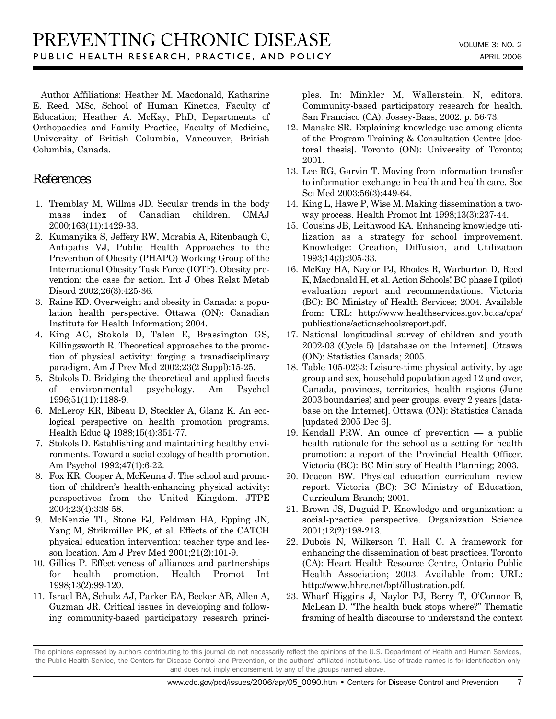Author Affiliations: Heather M. Macdonald, Katharine E. Reed, MSc, School of Human Kinetics, Faculty of Education; Heather A. McKay, PhD, Departments of Orthopaedics and Family Practice, Faculty of Medicine, University of British Columbia, Vancouver, British Columbia, Canada.

## References

- 1. Tremblay M, Willms JD. Secular trends in the body mass index of Canadian children. CMAJ 2000;163(11):1429-33.
- 2. Kumanyika S, Jeffery RW, Morabia A, Ritenbaugh C, Antipatis VJ, Public Health Approaches to the Prevention of Obesity (PHAPO) Working Group of the International Obesity Task Force (IOTF). Obesity prevention: the case for action. Int J Obes Relat Metab Disord 2002;26(3):425-36.
- 3. Raine KD. Overweight and obesity in Canada: a population health perspective. Ottawa (ON): Canadian Institute for Health Information; 2004.
- 4. King AC, Stokols D, Talen E, Brassington GS, Killingsworth R. Theoretical approaches to the promotion of physical activity: forging a transdisciplinary paradigm. Am J Prev Med 2002;23(2 Suppl):15-25.
- 5. Stokols D. Bridging the theoretical and applied facets of environmental psychology. Am Psychol 1996;51(11):1188-9.
- 6. McLeroy KR, Bibeau D, Steckler A, Glanz K. An ecological perspective on health promotion programs. Health Educ Q 1988;15(4):351-77.
- 7. Stokols D. Establishing and maintaining healthy environments. Toward a social ecology of health promotion. Am Psychol 1992;47(1):6-22.
- 8. Fox KR, Cooper A, McKenna J. The school and promotion of children's health-enhancing physical activity: perspectives from the United Kingdom. JTPE 2004;23(4):338-58.
- 9. McKenzie TL, Stone EJ, Feldman HA, Epping JN, Yang M, Strikmiller PK, et al. Effects of the CATCH physical education intervention: teacher type and lesson location. Am J Prev Med 2001;21(2):101-9.
- 10. Gillies P. Effectiveness of alliances and partnerships for health promotion. Health Promot Int 1998;13(2):99-120.
- 11. Israel BA, Schulz AJ, Parker EA, Becker AB, Allen A, Guzman JR. Critical issues in developing and following community-based participatory research princi-

ples. In: Minkler M, Wallerstein, N, editors. Community-based participatory research for health. San Francisco (CA): Jossey-Bass; 2002. p. 56-73.

- 12. Manske SR. Explaining knowledge use among clients of the Program Training & Consultation Centre [doctoral thesis]. Toronto (ON): University of Toronto; 2001.
- 13. Lee RG, Garvin T. Moving from information transfer to information exchange in health and health care. Soc Sci Med 2003;56(3):449-64.
- 14. King L, Hawe P, Wise M. Making dissemination a twoway process. Health Promot Int 1998;13(3):237-44.
- 15. Cousins JB, Leithwood KA. Enhancing knowledge utilization as a strategy for school improvement. Knowledge: Creation, Diffusion, and Utilization 1993;14(3):305-33.
- 16. McKay HA, Naylor PJ, Rhodes R, Warburton D, Reed K, Macdonald H, et al. Action Schools! BC phase I (pilot) evaluation report and recommendations. Victoria (BC): BC Ministry of Health Services; 2004. Available from: URL: http://www.healthservices.gov.bc.ca/cpa/ publications/actionschoolsreport.pdf.
- 17. National longitudinal survey of children and youth 2002-03 (Cycle 5) [database on the Internet]. Ottawa (ON): Statistics Canada; 2005.
- 18. Table 105-0233: Leisure-time physical activity, by age group and sex, household population aged 12 and over, Canada, provinces, territories, health regions (June 2003 boundaries) and peer groups, every 2 years [database on the Internet]. Ottawa (ON): Statistics Canada [updated 2005 Dec 6].
- 19. Kendall PRW. An ounce of prevention a public health rationale for the school as a setting for health promotion: a report of the Provincial Health Officer. Victoria (BC): BC Ministry of Health Planning; 2003.
- 20. Deacon BW. Physical education curriculum review report. Victoria (BC): BC Ministry of Education, Curriculum Branch; 2001.
- 21. Brown JS, Duguid P. Knowledge and organization: a social-practice perspective. Organization Science 2001;12(2):198-213.
- 22. Dubois N, Wilkerson T, Hall C. A framework for enhancing the dissemination of best practices. Toronto (CA): Heart Health Resource Centre, Ontario Public Health Association; 2003. Available from: URL: http://www.hhrc.net/bpt/illustration.pdf.
- 23. Wharf Higgins J, Naylor PJ, Berry T, O'Connor B, McLean D. "The health buck stops where?" Thematic framing of health discourse to understand the context

The opinions expressed by authors contributing to this journal do not necessarily reflect the opinions of the U.S. Department of Health and Human Services, the Public Health Service, the Centers for Disease Control and Prevention, or the authors' affiliated institutions. Use of trade names is for identification only and does not imply endorsement by any of the groups named above.